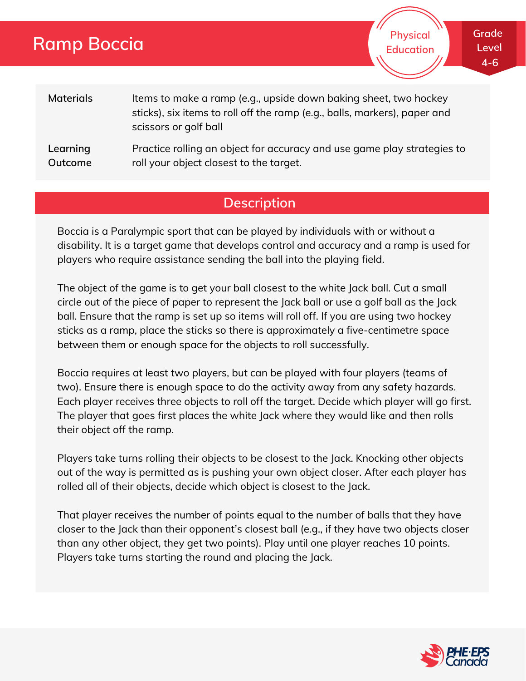# **Ramp Boccia**

**Physical Education**

| <b>Materials</b> | Items to make a ramp (e.g., upside down baking sheet, two hockey<br>sticks), six items to roll off the ramp (e.g., balls, markers), paper and<br>scissors or golf ball |
|------------------|------------------------------------------------------------------------------------------------------------------------------------------------------------------------|
| Learning         | Practice rolling an object for accuracy and use game play strategies to                                                                                                |

**Outcome** roll your object closest to the target.

## **Description**

Boccia is a Paralympic sport that can be played by individuals with or without a disability. It is a target game that develops control and accuracy and a ramp is used for players who require assistance sending the ball into the playing field.

The object of the game is to get your ball closest to the white Jack ball. Cut a small circle out of the piece of paper to represent the Jack ball or use a golf ball as the Jack ball. Ensure that the ramp is set up so items will roll off. If you are using two hockey sticks as a ramp, place the sticks so there is approximately a five-centimetre space between them or enough space for the objects to roll successfully.

Boccia requires at least two players, but can be played with four players (teams of two). Ensure there is enough space to do the activity away from any safety hazards. Each player receives three objects to roll off the target. Decide which player will go first. The player that goes first places the white Jack where they would like and then rolls their object off the ramp.

Players take turns rolling their objects to be closest to the Jack. Knocking other objects out of the way is permitted as is pushing your own object closer. After each player has rolled all of their objects, decide which object is closest to the Jack.

That player receives the number of points equal to the number of balls that they have closer to the Jack than their opponent's closest ball (e.g., if they have two objects closer than any other object, they get two points). Play until one player reaches 10 points. Players take turns starting the round and placing the Jack.